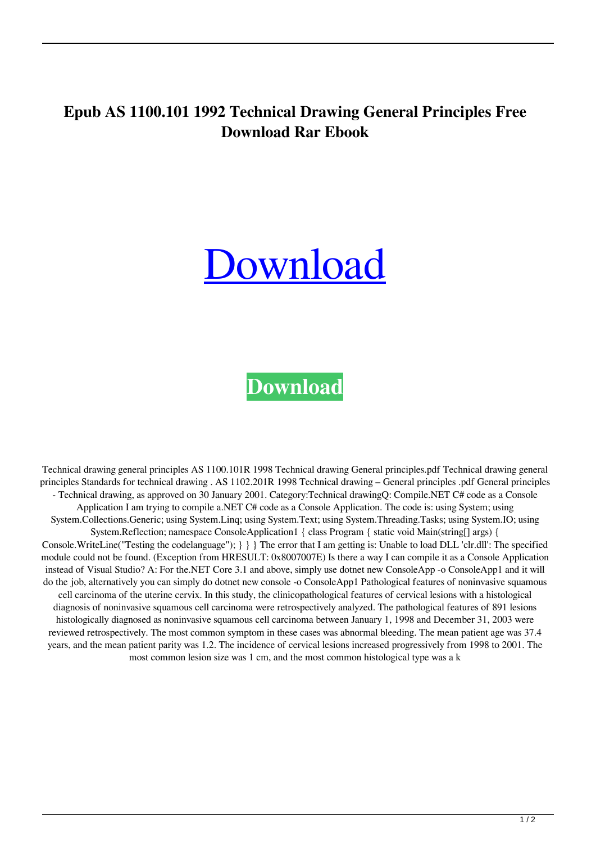## **Epub AS 1100.101 1992 Technical Drawing General Principles Free Download Rar Ebook**

## [Download](http://evacdir.com/nicene/QVMgMTEwMC4xMDEgMTk5MiBUZWNobmljYWwgZHJhd2luZyBHZW5lcmFsIHByaW5jaXBsZXMucGRmQVM.chromosomal?homebrewing=concepts&cowes=/ZG93bmxvYWR8VEkyTVRWbFozeDhNVFkxTWpjME1EZzJObng4TWpVM05IeDhLRTBwSUhKbFlXUXRZbXh2WnlCYlJtRnpkQ0JIUlU1ZA/garlands.hasbro)

## **[Download](http://evacdir.com/nicene/QVMgMTEwMC4xMDEgMTk5MiBUZWNobmljYWwgZHJhd2luZyBHZW5lcmFsIHByaW5jaXBsZXMucGRmQVM.chromosomal?homebrewing=concepts&cowes=/ZG93bmxvYWR8VEkyTVRWbFozeDhNVFkxTWpjME1EZzJObng4TWpVM05IeDhLRTBwSUhKbFlXUXRZbXh2WnlCYlJtRnpkQ0JIUlU1ZA/garlands.hasbro)**

Technical drawing general principles AS 1100.101R 1998 Technical drawing General principles.pdf Technical drawing general principles Standards for technical drawing . AS 1102.201R 1998 Technical drawing – General principles .pdf General principles - Technical drawing, as approved on 30 January 2001. Category:Technical drawingQ: Compile.NET C# code as a Console Application I am trying to compile a.NET C# code as a Console Application. The code is: using System; using System.Collections.Generic; using System.Linq; using System.Text; using System.Threading.Tasks; using System.IO; using System.Reflection; namespace ConsoleApplication1 { class Program { static void Main(string[] args) { Console.WriteLine("Testing the codelanguage"); } } } The error that I am getting is: Unable to load DLL 'clr.dll': The specified module could not be found. (Exception from HRESULT: 0x8007007E) Is there a way I can compile it as a Console Application instead of Visual Studio? A: For the.NET Core 3.1 and above, simply use dotnet new ConsoleApp -o ConsoleApp1 and it will do the job, alternatively you can simply do dotnet new console -o ConsoleApp1 Pathological features of noninvasive squamous cell carcinoma of the uterine cervix. In this study, the clinicopathological features of cervical lesions with a histological diagnosis of noninvasive squamous cell carcinoma were retrospectively analyzed. The pathological features of 891 lesions histologically diagnosed as noninvasive squamous cell carcinoma between January 1, 1998 and December 31, 2003 were reviewed retrospectively. The most common symptom in these cases was abnormal bleeding. The mean patient age was 37.4 years, and the mean patient parity was 1.2. The incidence of cervical lesions increased progressively from 1998 to 2001. The most common lesion size was 1 cm, and the most common histological type was a k